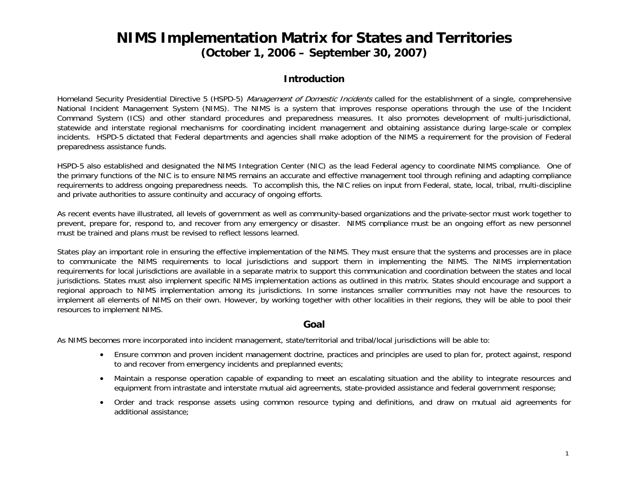#### **NIMS Implementation Matrix for States and Territories (October 1, 2006 – September 30, 2007)**

#### **Introduction**

Homeland Security Presidential Directive 5 (HSPD-5) Management of Domestic Incidents called for the establishment of a single, comprehensive National Incident Management System (NIMS). The NIMS is a system that improves response operations through the use of the Incident Command System (ICS) and other standard procedures and preparedness measures. It also promotes development of multi-jurisdictional, statewide and interstate regional mechanisms for coordinating incident management and obtaining assistance during large-scale or complex incidents. HSPD-5 dictated that Federal departments and agencies shall make adoption of the NIMS a requirement for the provision of Federal preparedness assistance funds.

HSPD-5 also established and designated the NIMS Integration Center (NIC) as the lead Federal agency to coordinate NIMS compliance. One of the primary functions of the NIC is to ensure NIMS remains an accurate and effective management tool through refining and adapting compliance requirements to address ongoing preparedness needs. To accomplish this, the NIC relies on input from Federal, state, local, tribal, multi-discipline and private authorities to assure continuity and accuracy of ongoing efforts.

As recent events have illustrated, all levels of government as well as community-based organizations and the private-sector must work together to prevent, prepare for, respond to, and recover from any emergency or disaster. NIMS compliance must be an ongoing effort as new personnel must be trained and plans must be revised to reflect lessons learned.

States play an important role in ensuring the effective implementation of the NIMS. They must ensure that the systems and processes are in place to communicate the NIMS requirements to local jurisdictions and support them in implementing the NIMS. The NIMS implementation requirements for local jurisdictions are available in a separate matrix to support this communication and coordination between the states and local jurisdictions. States must also implement specific NIMS implementation actions as outlined in this matrix. States should encourage and support a regional approach to NIMS implementation among its jurisdictions. In some instances smaller communities may not have the resources to implement all elements of NIMS on their own. However, by working together with other localities in their regions, they will be able to pool their resources to implement NIMS.

#### **Goal**

As NIMS becomes more incorporated into incident management, state/territorial and tribal/local jurisdictions will be able to:

- • Ensure common and proven incident management doctrine, practices and principles are used to plan for, protect against, respond to and recover from emergency incidents and preplanned events;
- • Maintain a response operation capable of expanding to meet an escalating situation and the ability to integrate resources and equipment from intrastate and interstate mutual aid agreements, state-provided assistance and federal government response;
- Order and track response assets using common resource typing and definitions, and draw on mutual aid agreements for additional assistance;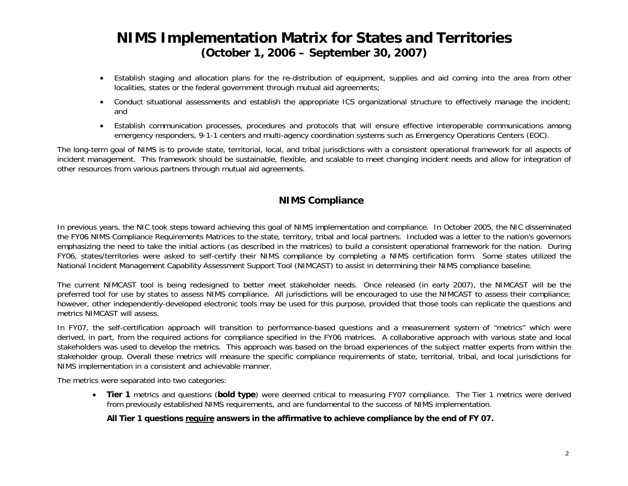#### **NIMS Implementation Matrix for States and Territories (October 1, 2006 – September 30, 2007)**

- • Establish staging and allocation plans for the re-distribution of equipment, supplies and aid coming into the area from other localities, states or the federal government through mutual aid agreements;
- • Conduct situational assessments and establish the appropriate ICS organizational structure to effectively manage the incident; and
- Establish communication processes, procedures and protocols that will ensure effective interoperable communications among emergency responders, 9-1-1 centers and multi-agency coordination systems such as Emergency Operations Centers (EOC).

The long-term goal of NIMS is to provide state, territorial, local, and tribal jurisdictions with a consistent operational framework for all aspects of incident management. This framework should be sustainable, flexible, and scalable to meet changing incident needs and allow for integration of other resources from various partners through mutual aid agreements.

#### **NIMS Compliance**

In previous years, the NIC took steps toward achieving this goal of NIMS implementation and compliance. In October 2005, the NIC disseminated the FY06 NIMS Compliance Requirements Matrices to the state, territory, tribal and local partners. Included was a letter to the nation's governors emphasizing the need to take the initial actions (as described in the matrices) to build a consistent operational framework for the nation. During FY06, states/territories were asked to self-certify their NIMS compliance by completing a NIMS certification form. Some states utilized the National Incident Management Capability Assessment Support Tool (NIMCAST) to assist in determining their NIMS compliance baseline.

The current NIMCAST tool is being redesigned to better meet stakeholder needs. Once released (in early 2007), the NIMCAST will be the preferred tool for use by states to assess NIMS compliance. All jurisdictions will be encouraged to use the NIMCAST to assess their compliance; however, other independently-developed electronic tools may be used for this purpose, provided that those tools can replicate the questions and metrics NIMCAST will assess.

In FY07, the self-certification approach will transition to performance-based questions and a measurement system of "metrics" which were derived, in part, from the required actions for compliance specified in the FY06 matrices. A collaborative approach with various state and local stakeholders was used to develop the metrics. This approach was based on the broad experiences of the subject matter experts from within the stakeholder group. Overall these metrics will measure the specific compliance requirements of state, territorial, tribal, and local jurisdictions for NIMS implementation in a consistent and achievable manner.

The metrics were separated into two categories:

• **Tier 1** metrics and questions (**bold type**) were deemed critical to measuring FY07 compliance. The Tier 1 metrics were derived from previously established NIMS requirements, and are fundamental to the success of NIMS implementation.

#### **All Tier 1 questions require answers in the affirmative to achieve compliance by the end of FY 07.**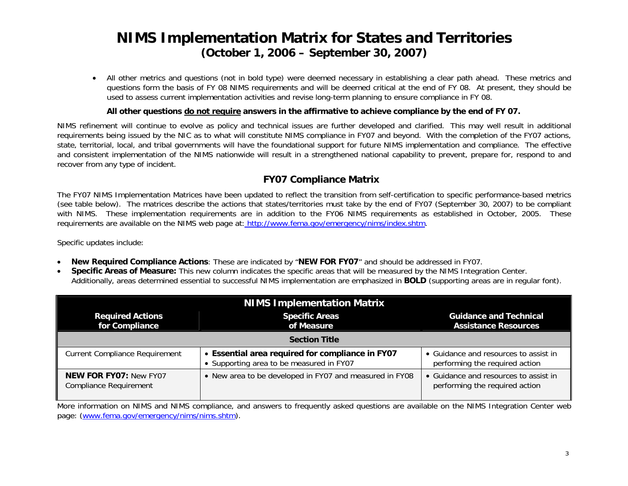#### **NIMS Implementation Matrix for States and Territories (October 1, 2006 – September 30, 2007)**

• All other metrics and questions (not in bold type) were deemed necessary in establishing a clear path ahead. These metrics and questions form the basis of FY 08 NIMS requirements and will be deemed critical at the end of FY 08. At present, they should be used to assess current implementation activities and revise long-term planning to ensure compliance in FY 08.

#### **All other questions do not require answers in the affirmative to achieve compliance by the end of FY 07.**

NIMS refinement will continue to evolve as policy and technical issues are further developed and clarified. This may well result in additional requirements being issued by the NIC as to what will constitute NIMS compliance in FY07 and beyond. With the completion of the FY07 actions, state, territorial, local, and tribal governments will have the foundational support for future NIMS implementation and compliance. The effective and consistent implementation of the NIMS nationwide will result in a strengthened national capability to prevent, prepare for, respond to and recover from any type of incident.

#### **FY07 Compliance Matrix**

The FY07 NIMS Implementation Matrices have been updated to reflect the transition from self-certification to specific performance-based metrics (see table below). The matrices describe the actions that states/territories must take by the end of FY07 (September 30, 2007) to be compliant with NIMS. These implementation requirements are in addition to the FY06 NIMS requirements as established in October, 2005. These requirements are available on the NIMS web page at: http://www.fema.gov/emergency/nims/index.shtm.

Specific updates include:

- •**New Required Compliance Actions**: These are indicated by "**NEW FOR FY07**" and should be addressed in FY07.
- • **Specific Areas of Measure:** This new column indicates the specific areas that will be measured by the NIMS Integration Center. Additionally, areas determined essential to successful NIMS implementation are emphasized in **BOLD** (supporting areas are in regular font).

| <b>NIMS Implementation Matrix</b>                              |                                                                                              |                                                                         |  |
|----------------------------------------------------------------|----------------------------------------------------------------------------------------------|-------------------------------------------------------------------------|--|
| <b>Required Actions</b><br>for Compliance                      | <b>Specific Areas</b><br>of Measure                                                          | <b>Guidance and Technical</b><br><b>Assistance Resources</b>            |  |
| <b>Section Title</b>                                           |                                                                                              |                                                                         |  |
| <b>Current Compliance Requirement</b>                          | • Essential area required for compliance in FY07<br>• Supporting area to be measured in FY07 | • Guidance and resources to assist in<br>performing the required action |  |
| <b>NEW FOR FY07: New FY07</b><br><b>Compliance Requirement</b> | • New area to be developed in FY07 and measured in FY08                                      | • Guidance and resources to assist in<br>performing the required action |  |

More information on NIMS and NIMS compliance, and answers to frequently asked questions are available on the NIMS Integration Center web page: [\(www.fema.gov/emergency/nims/nims.shtm\)](http://www.fema.gov/emergency/nims/nims.shtm).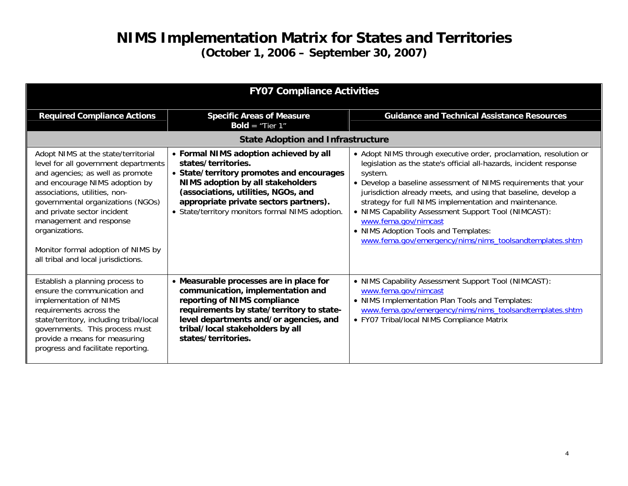| <b>FY07 Compliance Activities</b>                                                                                                                                                                                                                                                                                                                                                |                                                                                                                                                                                                                                                                                      |                                                                                                                                                                                                                                                                                                                                                                                                                                                                                                                                     |
|----------------------------------------------------------------------------------------------------------------------------------------------------------------------------------------------------------------------------------------------------------------------------------------------------------------------------------------------------------------------------------|--------------------------------------------------------------------------------------------------------------------------------------------------------------------------------------------------------------------------------------------------------------------------------------|-------------------------------------------------------------------------------------------------------------------------------------------------------------------------------------------------------------------------------------------------------------------------------------------------------------------------------------------------------------------------------------------------------------------------------------------------------------------------------------------------------------------------------------|
| <b>Required Compliance Actions</b>                                                                                                                                                                                                                                                                                                                                               | <b>Specific Areas of Measure</b><br><b>Bold</b> = "Tier $1$ "                                                                                                                                                                                                                        | <b>Guidance and Technical Assistance Resources</b>                                                                                                                                                                                                                                                                                                                                                                                                                                                                                  |
| <b>State Adoption and Infrastructure</b>                                                                                                                                                                                                                                                                                                                                         |                                                                                                                                                                                                                                                                                      |                                                                                                                                                                                                                                                                                                                                                                                                                                                                                                                                     |
| Adopt NIMS at the state/territorial<br>level for all government departments<br>and agencies; as well as promote<br>and encourage NIMS adoption by<br>associations, utilities, non-<br>governmental organizations (NGOs)<br>and private sector incident<br>management and response<br>organizations.<br>Monitor formal adoption of NIMS by<br>all tribal and local jurisdictions. | • Formal NIMS adoption achieved by all<br>states/territories.<br>• State/territory promotes and encourages<br>NIMS adoption by all stakeholders<br>(associations, utilities, NGOs, and<br>appropriate private sectors partners).<br>• State/territory monitors formal NIMS adoption. | • Adopt NIMS through executive order, proclamation, resolution or<br>legislation as the state's official all-hazards, incident response<br>system.<br>• Develop a baseline assessment of NIMS requirements that your<br>jurisdiction already meets, and using that baseline, develop a<br>strategy for full NIMS implementation and maintenance.<br>• NIMS Capability Assessment Support Tool (NIMCAST):<br>www.fema.gov/nimcast<br>• NIMS Adoption Tools and Templates:<br>www.fema.gov/emergency/nims/nims_toolsandtemplates.shtm |
| Establish a planning process to<br>ensure the communication and<br>implementation of NIMS<br>requirements across the<br>state/territory, including tribal/local<br>governments. This process must<br>provide a means for measuring<br>progress and facilitate reporting.                                                                                                         | • Measurable processes are in place for<br>communication, implementation and<br>reporting of NIMS compliance<br>requirements by state/territory to state-<br>level departments and/or agencies, and<br>tribal/local stakeholders by all<br>states/territories.                       | • NIMS Capability Assessment Support Tool (NIMCAST):<br>www.fema.gov/nimcast<br>• NIMS Implementation Plan Tools and Templates:<br>www.fema.gov/emergency/nims/nims_toolsandtemplates.shtm<br>• FY07 Tribal/local NIMS Compliance Matrix                                                                                                                                                                                                                                                                                            |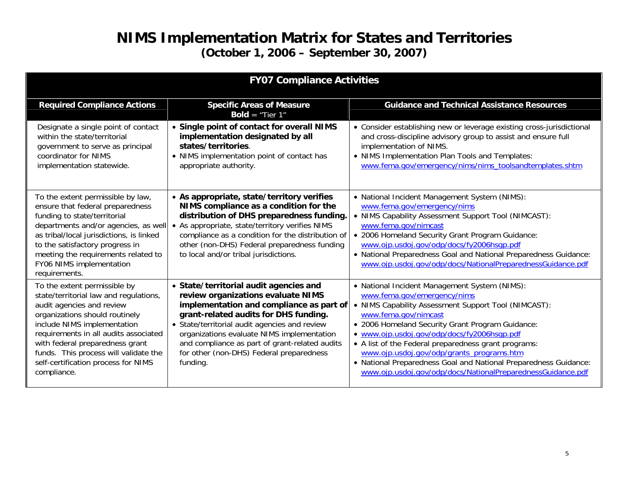| <b>FY07 Compliance Activities</b>                                                                                                                                                                                                                                                                                                               |                                                                                                                                                                                                                                                                                                                                                                            |                                                                                                                                                                                                                                                                                                                                                                                                                                                                                                         |
|-------------------------------------------------------------------------------------------------------------------------------------------------------------------------------------------------------------------------------------------------------------------------------------------------------------------------------------------------|----------------------------------------------------------------------------------------------------------------------------------------------------------------------------------------------------------------------------------------------------------------------------------------------------------------------------------------------------------------------------|---------------------------------------------------------------------------------------------------------------------------------------------------------------------------------------------------------------------------------------------------------------------------------------------------------------------------------------------------------------------------------------------------------------------------------------------------------------------------------------------------------|
| <b>Required Compliance Actions</b>                                                                                                                                                                                                                                                                                                              | <b>Specific Areas of Measure</b><br><b>Bold</b> = "Tier $1$ "                                                                                                                                                                                                                                                                                                              | <b>Guidance and Technical Assistance Resources</b>                                                                                                                                                                                                                                                                                                                                                                                                                                                      |
| Designate a single point of contact<br>within the state/territorial<br>government to serve as principal<br>coordinator for NIMS<br>implementation statewide.                                                                                                                                                                                    | • Single point of contact for overall NIMS<br>implementation designated by all<br>states/territories.<br>• NIMS implementation point of contact has<br>appropriate authority.                                                                                                                                                                                              | • Consider establishing new or leverage existing cross-jurisdictional<br>and cross-discipline advisory group to assist and ensure full<br>implementation of NIMS.<br>• NIMS Implementation Plan Tools and Templates:<br>www.fema.gov/emergency/nims/nims_toolsandtemplates.shtm                                                                                                                                                                                                                         |
| To the extent permissible by law,<br>ensure that federal preparedness<br>funding to state/territorial<br>departments and/or agencies, as well<br>as tribal/local jurisdictions, is linked<br>to the satisfactory progress in<br>meeting the requirements related to<br>FY06 NIMS implementation<br>requirements.                                | • As appropriate, state/territory verifies<br>NIMS compliance as a condition for the<br>distribution of DHS preparedness funding.<br>• As appropriate, state/territory verifies NIMS<br>compliance as a condition for the distribution of<br>other (non-DHS) Federal preparedness funding<br>to local and/or tribal jurisdictions.                                         | • National Incident Management System (NIMS):<br>www.fema.gov/emergency/nims<br>• NIMS Capability Assessment Support Tool (NIMCAST):<br>www.fema.gov/nimcast<br>• 2006 Homeland Security Grant Program Guidance:<br>www.ojp.usdoj.gov/odp/docs/fy2006hsqp.pdf<br>• National Preparedness Goal and National Preparedness Guidance:<br>www.ojp.usdoj.gov/odp/docs/NationalPreparednessGuidance.pdf                                                                                                        |
| To the extent permissible by<br>state/territorial law and regulations,<br>audit agencies and review<br>organizations should routinely<br>include NIMS implementation<br>requirements in all audits associated<br>with federal preparedness grant<br>funds. This process will validate the<br>self-certification process for NIMS<br>compliance. | • State/territorial audit agencies and<br>review organizations evaluate NIMS<br>implementation and compliance as part of<br>grant-related audits for DHS funding.<br>• State/territorial audit agencies and review<br>organizations evaluate NIMS implementation<br>and compliance as part of grant-related audits<br>for other (non-DHS) Federal preparedness<br>funding. | • National Incident Management System (NIMS):<br>www.fema.gov/emergency/nims<br>• NIMS Capability Assessment Support Tool (NIMCAST):<br>www.fema.gov/nimcast<br>• 2006 Homeland Security Grant Program Guidance:<br>• www.ojp.usdoj.gov/odp/docs/fy2006hsqp.pdf<br>• A list of the Federal preparedness grant programs:<br>www.ojp.usdoj.gov/odp/grants_programs.htm<br>• National Preparedness Goal and National Preparedness Guidance:<br>www.ojp.usdoj.gov/odp/docs/NationalPreparednessGuidance.pdf |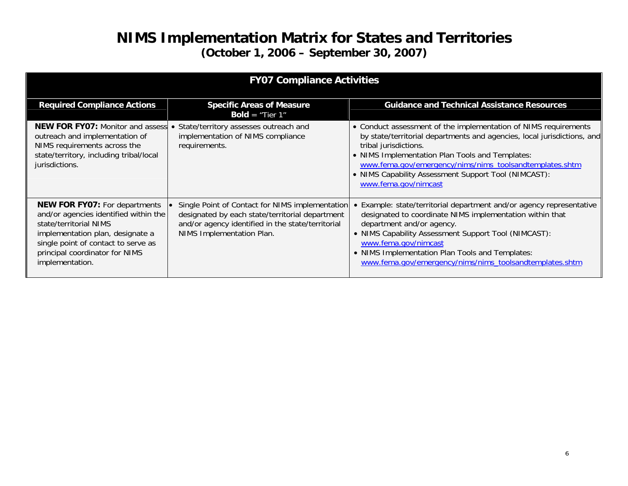| <b>FY07 Compliance Activities</b>                                                                                                                                                                                                       |                                                                                                                                                                                      |                                                                                                                                                                                                                                                                                                                                                                   |  |
|-----------------------------------------------------------------------------------------------------------------------------------------------------------------------------------------------------------------------------------------|--------------------------------------------------------------------------------------------------------------------------------------------------------------------------------------|-------------------------------------------------------------------------------------------------------------------------------------------------------------------------------------------------------------------------------------------------------------------------------------------------------------------------------------------------------------------|--|
| <b>Required Compliance Actions</b>                                                                                                                                                                                                      | <b>Specific Areas of Measure</b><br><b>Bold</b> = "Tier $1$ "                                                                                                                        | <b>Guidance and Technical Assistance Resources</b>                                                                                                                                                                                                                                                                                                                |  |
| <b>NEW FOR FY07: Monitor and assess</b><br>outreach and implementation of<br>NIMS requirements across the<br>state/territory, including tribal/local<br>jurisdictions.                                                                  | State/territory assesses outreach and<br>implementation of NIMS compliance<br>requirements.                                                                                          | • Conduct assessment of the implementation of NIMS requirements<br>by state/territorial departments and agencies, local jurisdictions, and<br>tribal jurisdictions.<br>• NIMS Implementation Plan Tools and Templates:<br>www.fema.gov/emergency/nims/nims_toolsandtemplates.shtm<br>• NIMS Capability Assessment Support Tool (NIMCAST):<br>www.fema.gov/nimcast |  |
| <b>NEW FOR FY07: For departments</b><br>and/or agencies identified within the<br>state/territorial NIMS<br>implementation plan, designate a<br>single point of contact to serve as<br>principal coordinator for NIMS<br>implementation. | Single Point of Contact for NIMS implementation<br>designated by each state/territorial department<br>and/or agency identified in the state/territorial<br>NIMS Implementation Plan. | • Example: state/territorial department and/or agency representative<br>designated to coordinate NIMS implementation within that<br>department and/or agency.<br>• NIMS Capability Assessment Support Tool (NIMCAST):<br>www.fema.gov/nimcast<br>• NIMS Implementation Plan Tools and Templates:<br>www.fema.gov/emergency/nims/nims_toolsandtemplates.shtm       |  |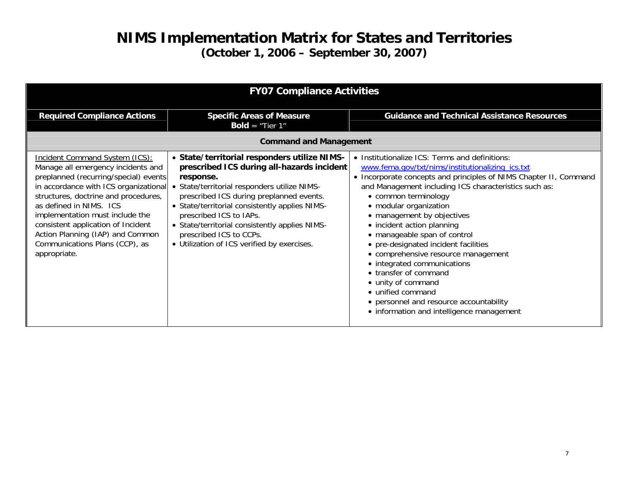| <b>FY07 Compliance Activities</b>                                                                                                                                                                                                                                                                                                                                                               |                                                                                                                                                                                                                                                                                                                                                                                                              |                                                                                                                                                                                                                                                                                                                                                                                                                                                                                                                                                                                                                                                          |
|-------------------------------------------------------------------------------------------------------------------------------------------------------------------------------------------------------------------------------------------------------------------------------------------------------------------------------------------------------------------------------------------------|--------------------------------------------------------------------------------------------------------------------------------------------------------------------------------------------------------------------------------------------------------------------------------------------------------------------------------------------------------------------------------------------------------------|----------------------------------------------------------------------------------------------------------------------------------------------------------------------------------------------------------------------------------------------------------------------------------------------------------------------------------------------------------------------------------------------------------------------------------------------------------------------------------------------------------------------------------------------------------------------------------------------------------------------------------------------------------|
| <b>Required Compliance Actions</b>                                                                                                                                                                                                                                                                                                                                                              | <b>Specific Areas of Measure</b><br><b>Bold</b> = "Tier $1$ "                                                                                                                                                                                                                                                                                                                                                | <b>Guidance and Technical Assistance Resources</b>                                                                                                                                                                                                                                                                                                                                                                                                                                                                                                                                                                                                       |
| <b>Command and Management</b>                                                                                                                                                                                                                                                                                                                                                                   |                                                                                                                                                                                                                                                                                                                                                                                                              |                                                                                                                                                                                                                                                                                                                                                                                                                                                                                                                                                                                                                                                          |
| <b>Incident Command System (ICS):</b><br>Manage all emergency incidents and<br>preplanned (recurring/special) events<br>in accordance with ICS organizational<br>structures, doctrine and procedures,<br>as defined in NIMS. ICS<br>implementation must include the<br>consistent application of Incident<br>Action Planning (IAP) and Common<br>Communications Plans (CCP), as<br>appropriate. | • State/territorial responders utilize NIMS-<br>prescribed ICS during all-hazards incident<br>response.<br>• State/territorial responders utilize NIMS-<br>prescribed ICS during preplanned events.<br>• State/territorial consistently applies NIMS-<br>prescribed ICS to IAPs.<br>• State/territorial consistently applies NIMS-<br>prescribed ICS to CCPs.<br>• Utilization of ICS verified by exercises. | • Institutionalize ICS: Terms and definitions:<br>www.fema.gov/txt/nims/institutionalizing_ics.txt<br>• Incorporate concepts and principles of NIMS Chapter II, Command<br>and Management including ICS characteristics such as:<br>• common terminology<br>• modular organization<br>• management by objectives<br>• incident action planning<br>• manageable span of control<br>• pre-designated incident facilities<br>• comprehensive resource management<br>• integrated communications<br>• transfer of command<br>• unity of command<br>• unified command<br>• personnel and resource accountability<br>• information and intelligence management |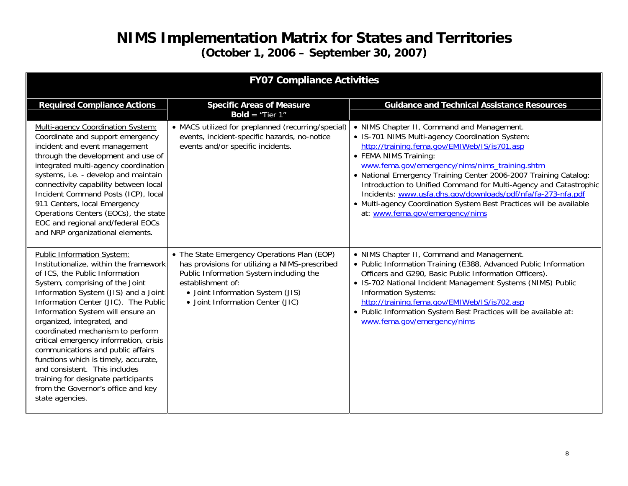| <b>FY07 Compliance Activities</b>                                                                                                                                                                                                                                                                                                                                                                                                                                                                                                                                                        |                                                                                                                                                                                                                                       |                                                                                                                                                                                                                                                                                                                                                                                                                                                                                                                                             |
|------------------------------------------------------------------------------------------------------------------------------------------------------------------------------------------------------------------------------------------------------------------------------------------------------------------------------------------------------------------------------------------------------------------------------------------------------------------------------------------------------------------------------------------------------------------------------------------|---------------------------------------------------------------------------------------------------------------------------------------------------------------------------------------------------------------------------------------|---------------------------------------------------------------------------------------------------------------------------------------------------------------------------------------------------------------------------------------------------------------------------------------------------------------------------------------------------------------------------------------------------------------------------------------------------------------------------------------------------------------------------------------------|
| <b>Required Compliance Actions</b>                                                                                                                                                                                                                                                                                                                                                                                                                                                                                                                                                       | <b>Specific Areas of Measure</b><br><b>Bold</b> = "Tier $1$ "                                                                                                                                                                         | <b>Guidance and Technical Assistance Resources</b>                                                                                                                                                                                                                                                                                                                                                                                                                                                                                          |
| <b>Multi-agency Coordination System:</b><br>Coordinate and support emergency<br>incident and event management<br>through the development and use of<br>integrated multi-agency coordination<br>systems, i.e. - develop and maintain<br>connectivity capability between local<br>Incident Command Posts (ICP), local<br>911 Centers, local Emergency<br>Operations Centers (EOCs), the state<br>EOC and regional and/federal EOCs<br>and NRP organizational elements.                                                                                                                     | • MACS utilized for preplanned (recurring/special)<br>events, incident-specific hazards, no-notice<br>events and/or specific incidents.                                                                                               | • NIMS Chapter II, Command and Management.<br>• IS-701 NIMS Multi-agency Coordination System:<br>http://training.fema.gov/EMIWeb/IS/is701.asp<br>• FEMA NIMS Training:<br>www.fema.gov/emergency/nims/nims_training.shtm<br>• National Emergency Training Center 2006-2007 Training Catalog:<br>Introduction to Unified Command for Multi-Agency and Catastrophic<br>Incidents: www.usfa.dhs.gov/downloads/pdf/nfa/fa-273-nfa.pdf<br>• Multi-agency Coordination System Best Practices will be available<br>at: www.fema.gov/emergency/nims |
| Public Information System:<br>Institutionalize, within the framework<br>of ICS, the Public Information<br>System, comprising of the Joint<br>Information System (JIS) and a Joint<br>Information Center (JIC). The Public<br>Information System will ensure an<br>organized, integrated, and<br>coordinated mechanism to perform<br>critical emergency information, crisis<br>communications and public affairs<br>functions which is timely, accurate,<br>and consistent. This includes<br>training for designate participants<br>from the Governor's office and key<br>state agencies. | • The State Emergency Operations Plan (EOP)<br>has provisions for utilizing a NIMS-prescribed<br>Public Information System including the<br>establishment of:<br>• Joint Information System (JIS)<br>• Joint Information Center (JIC) | • NIMS Chapter II, Command and Management.<br>• Public Information Training (E388, Advanced Public Information<br>Officers and G290, Basic Public Information Officers).<br>• IS-702 National Incident Management Systems (NIMS) Public<br><b>Information Systems:</b><br>http://training.fema.gov/EMIWeb/IS/is702.asp<br>. Public Information System Best Practices will be available at:<br>www.fema.gov/emergency/nims                                                                                                                   |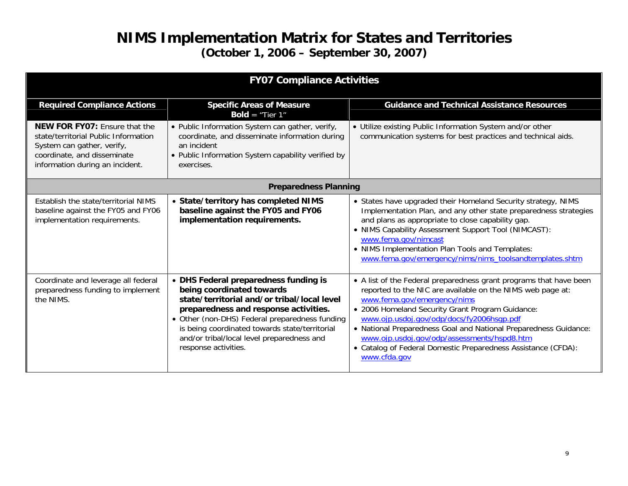| <b>FY07 Compliance Activities</b>                                                                                                                                            |                                                                                                                                                                                                                                                                                                                                      |                                                                                                                                                                                                                                                                                                                                                                                                                                                                      |
|------------------------------------------------------------------------------------------------------------------------------------------------------------------------------|--------------------------------------------------------------------------------------------------------------------------------------------------------------------------------------------------------------------------------------------------------------------------------------------------------------------------------------|----------------------------------------------------------------------------------------------------------------------------------------------------------------------------------------------------------------------------------------------------------------------------------------------------------------------------------------------------------------------------------------------------------------------------------------------------------------------|
| <b>Required Compliance Actions</b>                                                                                                                                           | <b>Specific Areas of Measure</b><br><b>Bold</b> = "Tier $1$ "                                                                                                                                                                                                                                                                        | <b>Guidance and Technical Assistance Resources</b>                                                                                                                                                                                                                                                                                                                                                                                                                   |
| <b>NEW FOR FY07: Ensure that the</b><br>state/territorial Public Information<br>System can gather, verify,<br>coordinate, and disseminate<br>information during an incident. | • Public Information System can gather, verify,<br>coordinate, and disseminate information during<br>an incident<br>• Public Information System capability verified by<br>exercises.                                                                                                                                                 | • Utilize existing Public Information System and/or other<br>communication systems for best practices and technical aids.                                                                                                                                                                                                                                                                                                                                            |
| <b>Preparedness Planning</b>                                                                                                                                                 |                                                                                                                                                                                                                                                                                                                                      |                                                                                                                                                                                                                                                                                                                                                                                                                                                                      |
| Establish the state/territorial NIMS<br>baseline against the FY05 and FY06<br>implementation requirements.                                                                   | • State/territory has completed NIMS<br>baseline against the FY05 and FY06<br>implementation requirements.                                                                                                                                                                                                                           | • States have upgraded their Homeland Security strategy, NIMS<br>Implementation Plan, and any other state preparedness strategies<br>and plans as appropriate to close capability gap.<br>• NIMS Capability Assessment Support Tool (NIMCAST):<br>www.fema.gov/nimcast<br>• NIMS Implementation Plan Tools and Templates:<br>www.fema.gov/emergency/nims/nims_toolsandtemplates.shtm                                                                                 |
| Coordinate and leverage all federal<br>preparedness funding to implement<br>the NIMS.                                                                                        | • DHS Federal preparedness funding is<br>being coordinated towards<br>state/territorial and/or tribal/local level<br>preparedness and response activities.<br>• Other (non-DHS) Federal preparedness funding<br>is being coordinated towards state/territorial<br>and/or tribal/local level preparedness and<br>response activities. | • A list of the Federal preparedness grant programs that have been<br>reported to the NIC are available on the NIMS web page at:<br>www.fema.gov/emergency/nims<br>• 2006 Homeland Security Grant Program Guidance:<br>www.ojp.usdoj.gov/odp/docs/fy2006hsgp.pdf<br>• National Preparedness Goal and National Preparedness Guidance:<br>www.ojp.usdoj.gov/odp/assessments/hspd8.htm<br>• Catalog of Federal Domestic Preparedness Assistance (CFDA):<br>www.cfda.gov |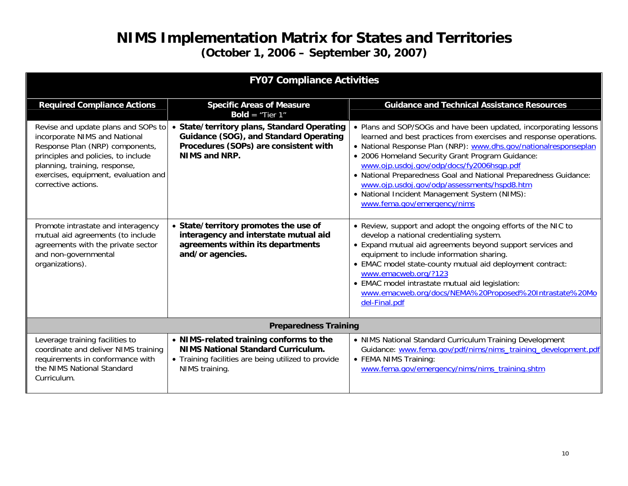| <b>FY07 Compliance Activities</b>                                                                                                                                                                                                              |                                                                                                                                                               |                                                                                                                                                                                                                                                                                                                                                                                                                                                                                                                 |
|------------------------------------------------------------------------------------------------------------------------------------------------------------------------------------------------------------------------------------------------|---------------------------------------------------------------------------------------------------------------------------------------------------------------|-----------------------------------------------------------------------------------------------------------------------------------------------------------------------------------------------------------------------------------------------------------------------------------------------------------------------------------------------------------------------------------------------------------------------------------------------------------------------------------------------------------------|
| <b>Required Compliance Actions</b>                                                                                                                                                                                                             | <b>Specific Areas of Measure</b><br><b>Bold</b> = "Tier $1$ "                                                                                                 | <b>Guidance and Technical Assistance Resources</b>                                                                                                                                                                                                                                                                                                                                                                                                                                                              |
| Revise and update plans and SOPs to<br>incorporate NIMS and National<br>Response Plan (NRP) components,<br>principles and policies, to include<br>planning, training, response,<br>exercises, equipment, evaluation and<br>corrective actions. | • State/territory plans, Standard Operating<br>Guidance (SOG), and Standard Operating<br>Procedures (SOPs) are consistent with<br>NIMS and NRP.               | • Plans and SOP/SOGs and have been updated, incorporating lessons<br>learned and best practices from exercises and response operations.<br>• National Response Plan (NRP): www.dhs.gov/nationalresponseplan<br>• 2006 Homeland Security Grant Program Guidance:<br>www.ojp.usdoj.gov/odp/docs/fy2006hsqp.pdf<br>• National Preparedness Goal and National Preparedness Guidance:<br>www.ojp.usdoj.gov/odp/assessments/hspd8.htm<br>• National Incident Management System (NIMS):<br>www.fema.gov/emergency/nims |
| Promote intrastate and interagency<br>mutual aid agreements (to include<br>agreements with the private sector<br>and non-governmental<br>organizations).                                                                                       | • State/territory promotes the use of<br>interagency and interstate mutual aid<br>agreements within its departments<br>and/or agencies.                       | • Review, support and adopt the ongoing efforts of the NIC to<br>develop a national credentialing system.<br>• Expand mutual aid agreements beyond support services and<br>equipment to include information sharing.<br>• EMAC model state-county mutual aid deployment contract:<br>www.emacweb.org/?123<br>· EMAC model intrastate mutual aid legislation:<br>www.emacweb.org/docs/NEMA%20Proposed%20Intrastate%20Mo<br>del-Final.pdf                                                                         |
| <b>Preparedness Training</b>                                                                                                                                                                                                                   |                                                                                                                                                               |                                                                                                                                                                                                                                                                                                                                                                                                                                                                                                                 |
| Leverage training facilities to<br>coordinate and deliver NIMS training<br>requirements in conformance with<br>the NIMS National Standard<br>Curriculum.                                                                                       | • NIMS-related training conforms to the<br><b>NIMS National Standard Curriculum.</b><br>• Training facilities are being utilized to provide<br>NIMS training. | • NIMS National Standard Curriculum Training Development<br>Guidance: www.fema.gov/pdf/nims/nims_training_development.pdf<br>• FEMA NIMS Training:<br>www.fema.gov/emergency/nims/nims_training.shtm                                                                                                                                                                                                                                                                                                            |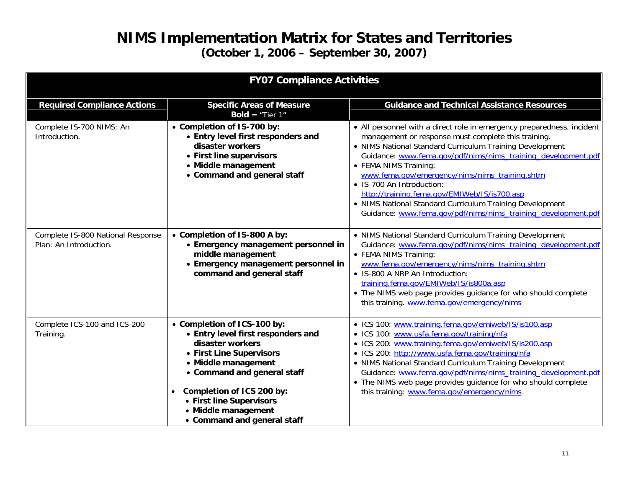| <b>FY07 Compliance Activities</b>                           |                                                                                                                                                                                                                                                                                        |                                                                                                                                                                                                                                                                                                                                                                                                                                                                                                                                                 |  |
|-------------------------------------------------------------|----------------------------------------------------------------------------------------------------------------------------------------------------------------------------------------------------------------------------------------------------------------------------------------|-------------------------------------------------------------------------------------------------------------------------------------------------------------------------------------------------------------------------------------------------------------------------------------------------------------------------------------------------------------------------------------------------------------------------------------------------------------------------------------------------------------------------------------------------|--|
| <b>Required Compliance Actions</b>                          | <b>Specific Areas of Measure</b><br><b>Bold</b> = "Tier $1$ "                                                                                                                                                                                                                          | <b>Guidance and Technical Assistance Resources</b>                                                                                                                                                                                                                                                                                                                                                                                                                                                                                              |  |
| Complete IS-700 NIMS: An<br>Introduction.                   | • Completion of IS-700 by:<br>• Entry level first responders and<br>disaster workers<br>• First line supervisors<br>• Middle management<br>• Command and general staff                                                                                                                 | • All personnel with a direct role in emergency preparedness, incident<br>management or response must complete this training.<br>• NIMS National Standard Curriculum Training Development<br>Guidance: www.fema.gov/pdf/nims/nims_training_development.pdf<br>• FEMA NIMS Training:<br>www.fema.gov/emergency/nims/nims_training.shtm<br>• IS-700 An Introduction:<br>http://training.fema.gov/EMIWeb/IS/is700.asp<br>• NIMS National Standard Curriculum Training Development<br>Guidance: www.fema.gov/pdf/nims/nims_training_development.pdf |  |
| Complete IS-800 National Response<br>Plan: An Introduction. | • Completion of IS-800 A by:<br>• Emergency management personnel in<br>middle management<br>• Emergency management personnel in<br>command and general staff                                                                                                                           | • NIMS National Standard Curriculum Training Development<br>Guidance: www.fema.gov/pdf/nims/nims_training_development.pdf<br>• FEMA NIMS Training:<br>www.fema.gov/emergency/nims/nims_training.shtm<br>• IS-800 A NRP An Introduction:<br>training.fema.gov/EMIWeb/IS/is800a.asp<br>• The NIMS web page provides guidance for who should complete<br>this training. www.fema.gov/emergency/nims                                                                                                                                                |  |
| Complete ICS-100 and ICS-200<br>Training.                   | • Completion of ICS-100 by:<br>• Entry level first responders and<br>disaster workers<br>• First Line Supervisors<br>• Middle management<br>• Command and general staff<br>Completion of ICS 200 by:<br>• First line Supervisors<br>• Middle management<br>• Command and general staff | · ICS 100: www.training.fema.gov/emiweb/IS/is100.asp<br>· ICS 100: www.usfa.fema.gov/training/nfa<br>• ICS 200: www.training.fema.gov/emiweb/IS/is200.asp<br>· ICS 200: http://www.usfa.fema.gov/training/nfa<br>• NIMS National Standard Curriculum Training Development<br>Guidance: www.fema.gov/pdf/nims/nims_training_development.pdf<br>• The NIMS web page provides guidance for who should complete<br>this training: www.fema.gov/emergency/nims                                                                                       |  |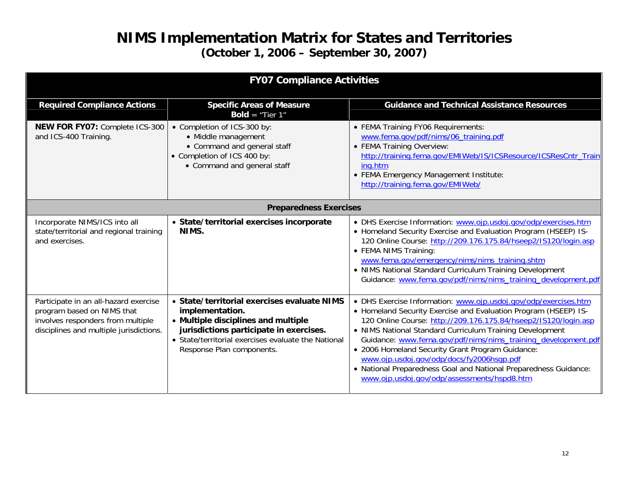| <b>FY07 Compliance Activities</b>                                                                                                                   |                                                                                                                                                                                                                                      |                                                                                                                                                                                                                                                                                                                                                                                                                                                                                                                                                        |
|-----------------------------------------------------------------------------------------------------------------------------------------------------|--------------------------------------------------------------------------------------------------------------------------------------------------------------------------------------------------------------------------------------|--------------------------------------------------------------------------------------------------------------------------------------------------------------------------------------------------------------------------------------------------------------------------------------------------------------------------------------------------------------------------------------------------------------------------------------------------------------------------------------------------------------------------------------------------------|
| <b>Required Compliance Actions</b>                                                                                                                  | <b>Specific Areas of Measure</b><br><b>Bold</b> = "Tier $1$ "                                                                                                                                                                        | <b>Guidance and Technical Assistance Resources</b>                                                                                                                                                                                                                                                                                                                                                                                                                                                                                                     |
| <b>NEW FOR FY07: Complete ICS-300</b><br>and ICS-400 Training.                                                                                      | • Completion of ICS-300 by:<br>• Middle management<br>• Command and general staff<br>• Completion of ICS 400 by:<br>• Command and general staff                                                                                      | • FEMA Training FY06 Requirements:<br>www.fema.gov/pdf/nims/06_training.pdf<br>• FEMA Training Overview:<br>http://training.fema.gov/EMIWeb/IS/ICSResource/ICSResCntr_Train<br>ing.htm<br>• FEMA Emergency Management Institute:<br>http://training.fema.gov/EMIWeb/                                                                                                                                                                                                                                                                                   |
| <b>Preparedness Exercises</b>                                                                                                                       |                                                                                                                                                                                                                                      |                                                                                                                                                                                                                                                                                                                                                                                                                                                                                                                                                        |
| Incorporate NIMS/ICS into all<br>state/territorial and regional training<br>and exercises.                                                          | • State/territorial exercises incorporate<br>NIMS.                                                                                                                                                                                   | • DHS Exercise Information: www.ojp.usdoj.gov/odp/exercises.htm<br>• Homeland Security Exercise and Evaluation Program (HSEEP) IS-<br>120 Online Course: http://209.176.175.84/hseep2/IS120/login.asp<br>• FEMA NIMS Training:<br>www.fema.gov/emergency/nims/nims_training.shtm<br>• NIMS National Standard Curriculum Training Development<br>Guidance: www.fema.gov/pdf/nims/nims_training_development.pdf                                                                                                                                          |
| Participate in an all-hazard exercise<br>program based on NIMS that<br>involves responders from multiple<br>disciplines and multiple jurisdictions. | • State/territorial exercises evaluate NIMS<br>implementation.<br>• Multiple disciplines and multiple<br>jurisdictions participate in exercises.<br>• State/territorial exercises evaluate the National<br>Response Plan components. | • DHS Exercise Information: www.ojp.usdoj.gov/odp/exercises.htm<br>• Homeland Security Exercise and Evaluation Program (HSEEP) IS-<br>120 Online Course: http://209.176.175.84/hseep2/IS120/login.asp<br>• NIMS National Standard Curriculum Training Development<br>Guidance: www.fema.gov/pdf/nims/nims_training_development.pdf<br>· 2006 Homeland Security Grant Program Guidance:<br>www.ojp.usdoj.gov/odp/docs/fy2006hsqp.pdf<br>• National Preparedness Goal and National Preparedness Guidance:<br>www.ojp.usdoj.gov/odp/assessments/hspd8.htm |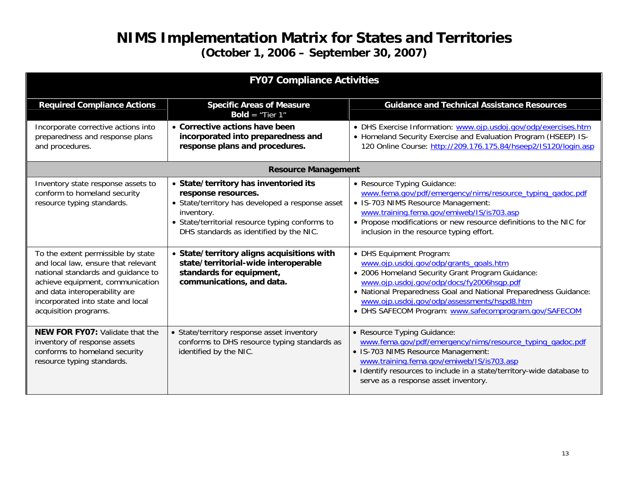| <b>FY07 Compliance Activities</b>                                                                                                                                                                                                                  |                                                                                                                                                                                                                              |                                                                                                                                                                                                                                                                                                                                                 |  |
|----------------------------------------------------------------------------------------------------------------------------------------------------------------------------------------------------------------------------------------------------|------------------------------------------------------------------------------------------------------------------------------------------------------------------------------------------------------------------------------|-------------------------------------------------------------------------------------------------------------------------------------------------------------------------------------------------------------------------------------------------------------------------------------------------------------------------------------------------|--|
| <b>Required Compliance Actions</b>                                                                                                                                                                                                                 | <b>Specific Areas of Measure</b><br><b>Bold</b> = "Tier $1$ "                                                                                                                                                                | <b>Guidance and Technical Assistance Resources</b>                                                                                                                                                                                                                                                                                              |  |
| Incorporate corrective actions into<br>preparedness and response plans<br>and procedures.                                                                                                                                                          | • Corrective actions have been<br>incorporated into preparedness and<br>response plans and procedures.                                                                                                                       | • DHS Exercise Information: www.ojp.usdoj.gov/odp/exercises.htm<br>• Homeland Security Exercise and Evaluation Program (HSEEP) IS-<br>120 Online Course: http://209.176.175.84/hseep2/IS120/login.asp                                                                                                                                           |  |
| <b>Resource Management</b>                                                                                                                                                                                                                         |                                                                                                                                                                                                                              |                                                                                                                                                                                                                                                                                                                                                 |  |
| Inventory state response assets to<br>conform to homeland security<br>resource typing standards.                                                                                                                                                   | • State/territory has inventoried its<br>response resources.<br>• State/territory has developed a response asset<br>inventory.<br>• State/territorial resource typing conforms to<br>DHS standards as identified by the NIC. | • Resource Typing Guidance:<br>www.fema.gov/pdf/emergency/nims/resource_typing_gadoc.pdf<br>• IS-703 NIMS Resource Management:<br>www.training.fema.gov/emiweb/IS/is703.asp<br>• Propose modifications or new resource definitions to the NIC for<br>inclusion in the resource typing effort.                                                   |  |
| To the extent permissible by state<br>and local law, ensure that relevant<br>national standards and guidance to<br>achieve equipment, communication<br>and data interoperability are<br>incorporated into state and local<br>acquisition programs. | • State/territory aligns acquisitions with<br>state/territorial-wide interoperable<br>standards for equipment,<br>communications, and data.                                                                                  | • DHS Equipment Program:<br>www.ojp.usdoj.gov/odp/grants_goals.htm<br>· 2006 Homeland Security Grant Program Guidance:<br>www.ojp.usdoj.gov/odp/docs/fy2006hsgp.pdf<br>• National Preparedness Goal and National Preparedness Guidance:<br>www.ojp.usdoj.gov/odp/assessments/hspd8.htm<br>• DHS SAFECOM Program: www.safecomprogram.gov/SAFECOM |  |
| <b>NEW FOR FY07: Validate that the</b><br>inventory of response assets<br>conforms to homeland security<br>resource typing standards.                                                                                                              | • State/territory response asset inventory<br>conforms to DHS resource typing standards as<br>identified by the NIC.                                                                                                         | • Resource Typing Guidance:<br>www.fema.gov/pdf/emergency/nims/resource_typing_gadoc.pdf<br>• IS-703 NIMS Resource Management:<br>www.training.fema.gov/emiweb/IS/is703.asp<br>• Identify resources to include in a state/territory-wide database to<br>serve as a response asset inventory.                                                    |  |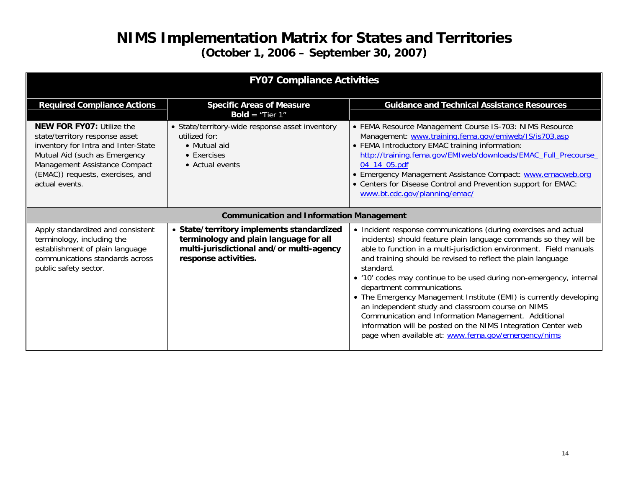| <b>FY07 Compliance Activities</b>                                                                                                                                                                                                 |                                                                                                                                                         |                                                                                                                                                                                                                                                                                                                                                                                                                                                                                                                                                                                                                                                                                                          |
|-----------------------------------------------------------------------------------------------------------------------------------------------------------------------------------------------------------------------------------|---------------------------------------------------------------------------------------------------------------------------------------------------------|----------------------------------------------------------------------------------------------------------------------------------------------------------------------------------------------------------------------------------------------------------------------------------------------------------------------------------------------------------------------------------------------------------------------------------------------------------------------------------------------------------------------------------------------------------------------------------------------------------------------------------------------------------------------------------------------------------|
| <b>Required Compliance Actions</b>                                                                                                                                                                                                | <b>Specific Areas of Measure</b><br><b>Bold</b> = "Tier $1"$                                                                                            | <b>Guidance and Technical Assistance Resources</b>                                                                                                                                                                                                                                                                                                                                                                                                                                                                                                                                                                                                                                                       |
| <b>NEW FOR FY07: Utilize the</b><br>state/territory response asset<br>inventory for Intra and Inter-State<br>Mutual Aid (such as Emergency<br>Management Assistance Compact<br>(EMAC)) requests, exercises, and<br>actual events. | • State/territory-wide response asset inventory<br>utilized for:<br>• Mutual aid<br>• Exercises<br>• Actual events                                      | • FEMA Resource Management Course IS-703: NIMS Resource<br>Management: www.training.fema.gov/emiweb/IS/is703.asp<br>• FEMA Introductory EMAC training information:<br>http://training.fema.gov/EMIweb/downloads/EMAC_Full_Precourse<br>04 14 05.pdf<br>• Emergency Management Assistance Compact: www.emacweb.org<br>• Centers for Disease Control and Prevention support for EMAC:<br>www.bt.cdc.gov/planning/emac/                                                                                                                                                                                                                                                                                     |
|                                                                                                                                                                                                                                   | <b>Communication and Information Management</b>                                                                                                         |                                                                                                                                                                                                                                                                                                                                                                                                                                                                                                                                                                                                                                                                                                          |
| Apply standardized and consistent<br>terminology, including the<br>establishment of plain language<br>communications standards across<br>public safety sector.                                                                    | • State/territory implements standardized<br>terminology and plain language for all<br>multi-jurisdictional and/or multi-agency<br>response activities. | • Incident response communications (during exercises and actual<br>incidents) should feature plain language commands so they will be<br>able to function in a multi-jurisdiction environment. Field manuals<br>and training should be revised to reflect the plain language<br>standard.<br>• '10' codes may continue to be used during non-emergency, internal<br>department communications.<br>• The Emergency Management Institute (EMI) is currently developing<br>an independent study and classroom course on NIMS<br>Communication and Information Management. Additional<br>information will be posted on the NIMS Integration Center web<br>page when available at: www.fema.gov/emergency/nims |